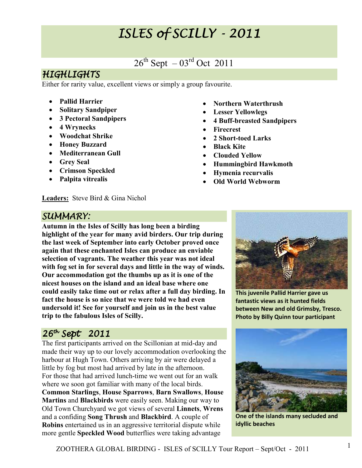## ISLES of SCILLY - 2011

## $26^{th}$  Sept  $-03^{rd}$  Oct 2011

## **HIGHLIGHTS**

Either for rarity value, excellent views or simply a group favourite.

- **Pallid Harrier**
- **Solitary Sandpiper**
- **3 Pectoral Sandpipers**
- **4 Wrynecks**
- **Woodchat Shrike**
- **Honey Buzzard**
- **Mediterranean Gull**
- **Grey Seal**
- **Crimson Speckled**
- **Palpita vitrealis**
- **Northern Waterthrush**
- **Lesser Yellowlegs**
- **4 Buff-breasted Sandpipers**
- **Firecrest**
- **2 Short-toed Larks**
- **Black Kite**
- **Clouded Yellow**
- **Hummingbird Hawkmoth**
- **Hymenia recurvalis**
- **Old World Webworm**

**Leaders:** Steve Bird & Gina Nichol

## SUMMARY:

**Autumn in the Isles of Scilly has long been a birding highlight of the year for many avid birders. Our trip during the last week of September into early October proved once again that these enchanted Isles can produce an enviable selection of vagrants. The weather this year was not ideal with fog set in for several days and little in the way of winds. Our accommodation got the thumbs up as it is one of the nicest houses on the island and an ideal base where one could easily take time out or relax after a full day birding. In fact the house is so nice that we were told we had even undersold it! See for yourself and join us in the best value trip to the fabulous Isles of Scilly.** 

## 26<sup>th</sup> Sept 2011

The first participants arrived on the Scillonian at mid-day and made their way up to our lovely accommodation overlooking the harbour at Hugh Town. Others arriving by air were delayed a little by fog but most had arrived by late in the afternoon. For those that had arrived lunch-time we went out for an walk where we soon got familiar with many of the local birds. **Common Starlings**, **House Sparrows**, **Barn Swallows**, **House Martins** and **Blackbirds** were easily seen. Making our way to Old Town Churchyard we got views of several **Linnets**, **Wrens** and a confiding **Song Thrush** and **Blackbird**. A couple of **Robins** entertained us in an aggressive territorial dispute while more gentle **Speckled Wood** butterflies were taking advantage



**This juvenile Pallid Harrier gave us fantastic views as it hunted fields between New and old Grimsby, Tresco. Photo by Billy Quinn tour participant** 



**One of the islands many secluded and idyllic beaches**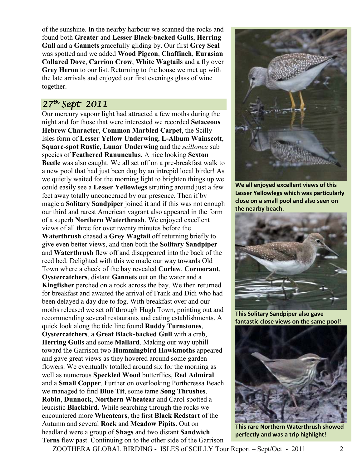of the sunshine. In the nearby harbour we scanned the rocks and found both **Greater** and **Lesser Black-backed Gulls**, **Herring Gull** and a **Gannets** gracefully gliding by. Our first **Grey Seal** was spotted and we added **Wood Pigeon**, **Chaffinch**, **Eurasian Collared Dove**, **Carrion Crow**, **White Wagtails** and a fly over **Grey Heron** to our list. Returning to the house we met up with the late arrivals and enjoyed our first evenings glass of wine together.

#### 27th Sept 2011

Our mercury vapour light had attracted a few moths during the night and for those that were interested we recorded **Setaceous Hebrew Character**, **Common Marbled Carpet**, the Scilly Isles form of **Lesser Yellow Underwing**, **L-Album Wainscott**, **Square-spot Rustic**, **Lunar Underwing** and the *scillonea* sub species of **Feathered Ranunculus**. A nice looking **Sexton Beetle** was also caught. We all set off on a pre-breakfast walk to a new pool that had just been dug by an intrepid local birder! As we quietly waited for the morning light to brighten things up we could easily see a **Lesser Yellowlegs** strutting around just a few feet away totally unconcerned by our presence. Then if by magic a **Solitary Sandpiper** joined it and if this was not enough our third and rarest American vagrant also appeared in the form of a superb **Northern Waterthrush**. We enjoyed excellent views of all three for over twenty minutes before the **Waterthrush** chased a **Grey Wagtail** off returning briefly to give even better views, and then both the **Solitary Sandpiper** and **Waterthrush** flew off and disappeared into the back of the reed bed. Delighted with this we made our way towards Old Town where a check of the bay revealed **Curlew**, **Cormorant**, **Oystercatchers**, distant **Gannets** out on the water and a **Kingfisher** perched on a rock across the bay. We then returned for breakfast and awaited the arrival of Frank and Didi who had been delayed a day due to fog. With breakfast over and our moths released we set off through Hugh Town, pointing out and recommending several restaurants and eating establishments. A quick look along the tide line found **Ruddy Turnstones**, **Oystercatchers**, a **Great Black-backed Gull** with a crab, **Herring Gulls** and some **Mallard**. Making our way uphill toward the Garrison two **Hummingbird Hawkmoths** appeared and gave great views as they hovered around some garden flowers. We eventually totalled around six for the morning as well as numerous **Speckled Wood** butterflies, **Red Admiral** and a **Small Copper**. Further on overlooking Porthcressa Beach we managed to find **Blue Tit**, some tame **Song Thrushes**, **Robin**, **Dunnock**, **Northern Wheatear** and Carol spotted a leucistic **Blackbird**. While searching through the rocks we encountered more **Wheatears**, the first **Black Redstart** of the Autumn and several **Rock** and **Meadow Pipits**. Out on headland were a group of **Shags** and two distant **Sandwich Terns** flew past. Continuing on to the other side of the Garrison



**We all enjoyed excellent views of this Lesser Yellowlegs which was particularly close on a small pool and also seen on the nearby beach.** 



**This Solitary Sandpiper also gave fantastic close views on the same pool!** 



**This rare Northern Waterthrush showed perfectly and was a trip highlight!** 

ZOOTHERA GLOBAL BIRDING - ISLES of SCILLY Tour Report – Sept/Oct - 2011 2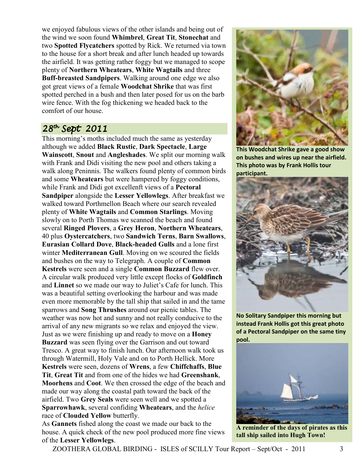we enjoyed fabulous views of the other islands and being out of the wind we soon found **Whimbrel**, **Great Tit**, **Stonechat** and two **Spotted Flycatchers** spotted by Rick. We returned via town to the house for a short break and after lunch headed up towards the airfield. It was getting rather foggy but we managed to scope plenty of **Northern Wheatears**, **White Wagtails** and three **Buff-breasted Sandpipers**. Walking around one edge we also got great views of a female **Woodchat Shrike** that was first spotted perched in a bush and then later posed for us on the barb wire fence. With the fog thickening we headed back to the comfort of our house.

## 28th Sept 2011

This morning's moths included much the same as yesterday although we added **Black Rustic**, **Dark Spectacle**, **Large Wainscott**, **Snout** and **Angleshades**. We split our morning walk with Frank and Didi visiting the new pool and others taking a walk along Peninnis. The walkers found plenty of common birds and some **Wheatears** but were hampered by foggy conditions, while Frank and Didi got excellenft views of a **Pectoral Sandpiper** alongside the **Lesser Yellowlegs**. After breakfast we walked toward Porthmellon Beach where our search revealed plenty of **White Wagtails** and **Common Starlings**. Moving slowly on to Porth Thomas we scanned the beach and found several **Ringed Plovers**, a **Grey Heron**, **Northern Wheatears**, 40 plus **Oystercatchers**, two **Sandwich Terns**, **Barn Swallows**, **Eurasian Collard Dove**, **Black-headed Gulls** and a lone first winter **Mediterranean Gull**. Moving on we scoured the fields and bushes on the way to Telegraph. A couple of **Common Kestrels** were seen and a single **Common Buzzard** flew over. A circular walk produced very little except flocks of **Goldfinch** and **Linnet** so we made our way to Juliet's Cafe for lunch. This was a beautiful setting overlooking the harbour and was made even more memorable by the tall ship that sailed in and the tame sparrows and **Song Thrushes** around our picnic tables. The weather was now hot and sunny and not really conducive to the arrival of any new migrants so we relax and enjoyed the view. Just as we were finishing up and ready to move on a **Honey Buzzard** was seen flying over the Garrison and out toward Tresco. A great way to finish lunch. Our afternoon walk took us through Watermill, Holy Vale and on to Porth Hellick. More **Kestrels** were seen, dozens of **Wrens**, a few **Chiffchaffs**, **Blue Tit**, **Great Tit** and from one of the hides we had **Greenshank**, **Moorhens** and **Coot**. We then crossed the edge of the beach and made our way along the coastal path toward the back of the airfield. Two **Grey Seals** were seen well and we spotted a **Sparrowhawk**, several confiding **Wheatears**, and the *helice* race of **Clouded Yellow** butterfly.

As **Gannets** fished along the coast we made our back to the house. A quick check of the new pool produced more fine views of the **Lesser Yellowlegs**.



**This Woodchat Shrike gave a good show on bushes and wires up near the airfield. This photo was by Frank Hollis tour participant.** 



**No Solitary Sandpiper this morning but instead Frank Hollis got this great photo of a Pectoral Sandpiper on the same tiny pool.** 



**A reminder of the days of pirates as this tall ship sailed into Hugh Town!**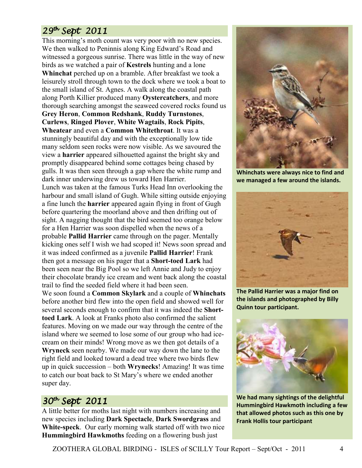## 29th Sept 2011

This morning's moth count was very poor with no new species. We then walked to Peninnis along King Edward's Road and witnessed a gorgeous sunrise. There was little in the way of new birds as we watched a pair of **Kestrels** hunting and a lone **Whinchat** perched up on a bramble. After breakfast we took a leisurely stroll through town to the dock where we took a boat to the small island of St. Agnes. A walk along the coastal path along Porth Killier produced many **Oystercatchers**, and more thorough searching amongst the seaweed covered rocks found us **Grey Heron**, **Common Redshank**, **Ruddy Turnstones**, **Curlews**, **Ringed Plover**, **White Wagtails**, **Rock Pipits**, **Wheatear** and even a **Common Whitethroat**. It was a stunningly beautiful day and with the exceptionally low tide many seldom seen rocks were now visible. As we savoured the view a **harrier** appeared silhouetted against the bright sky and promptly disappeared behind some cottages being chased by gulls. It was then seen through a gap where the white rump and

dark inner underwing drew us toward Hen Harrier. Lunch was taken at the famous Turks Head Inn overlooking the harbour and small island of Gugh. While sitting outside enjoying a fine lunch the **harrier** appeared again flying in front of Gugh before quartering the moorland above and then drifting out of sight. A nagging thought that the bird seemed too orange below for a Hen Harrier was soon dispelled when the news of a probable **Pallid Harrier** came through on the pager. Mentally kicking ones self I wish we had scoped it! News soon spread and it was indeed confirmed as a juvenile **Pallid Harrier**! Frank then got a message on his pager that a **Short-toed Lark** had been seen near the Big Pool so we left Annie and Judy to enjoy their chocolate brandy ice cream and went back along the coastal trail to find the seeded field where it had been seen.

We soon found a **Common Skylark** and a couple of **Whinchats** before another bird flew into the open field and showed well for several seconds enough to confirm that it was indeed the **Shorttoed Lark**. A look at Franks photo also confirmed the salient features. Moving on we made our way through the centre of the island where we seemed to lose some of our group who had icecream on their minds! Wrong move as we then got details of a **Wryneck** seen nearby. We made our way down the lane to the right field and looked toward a dead tree where two birds flew up in quick succession – both **Wrynecks**! Amazing! It was time to catch our boat back to St Mary's where we ended another super day.

### 30th Sept 2011

A little better for moths last night with numbers increasing and new species including **Dark Spectacle**, **Dark Swordgrass** and **White-speck**. Our early morning walk started off with two nice **Hummingbird Hawkmoths** feeding on a flowering bush just



**Whinchats were always nice to find and we managed a few around the islands.** 



**The Pallid Harrier was a major find on the islands and photographed by Billy Quinn tour participant.** 



**We had many sightings of the delightful Hummingbird Hawkmoth including a few that allowed photos such as this one by Frank Hollis tour participant**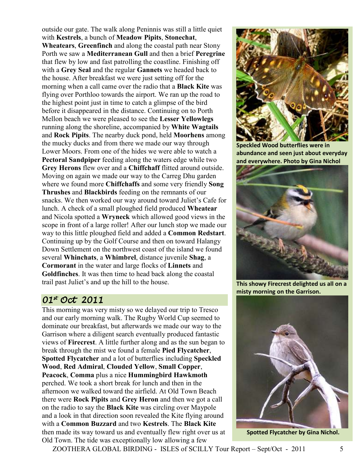outside our gate. The walk along Peninnis was still a little quiet with **Kestrels**, a bunch of **Meadow Pipits**, **Stonechat**, **Wheatears**, **Greenfinch** and along the coastal path near Stony Porth we saw a **Mediterranean Gull** and then a brief **Peregrine**  that flew by low and fast patrolling the coastline. Finishing off with a **Grey Seal** and the regular **Gannets** we headed back to the house. After breakfast we were just setting off for the morning when a call came over the radio that a **Black Kite** was flying over Porthloo towards the airport. We ran up the road to the highest point just in time to catch a glimpse of the bird before it disappeared in the distance. Continuing on to Porth Mellon beach we were pleased to see the **Lesser Yellowlegs** running along the shoreline, accompanied by **White Wagtails** and **Rock Pipits**. The nearby duck pond, held **Moorhens** among the mucky ducks and from there we made our way through Lower Moors. From one of the hides we were able to watch a **Pectoral Sandpiper** feeding along the waters edge while two **Grey Herons** flew over and a **Chiffchaff** flitted around outside. Moving on again we made our way to the Carreg Dhu garden where we found more **Chiffchaffs** and some very friendly **Song Thrushes** and **Blackbirds** feeding on the remnants of our snacks. We then worked our way around toward Juliet's Cafe for lunch. A check of a small ploughed field produced **Wheatear** and Nicola spotted a **Wryneck** which allowed good views in the scope in front of a large roller! After our lunch stop we made our way to this little ploughed field and added a **Common Redstart**. Continuing up by the Golf Course and then on toward Halangy Down Settlement on the northwest coast of the island we found several **Whinchats**, a **Whimbrel**, distance juvenile **Shag**, a **Cormorant** in the water and large flocks of **Linnets** and **Goldfinches**. It was then time to head back along the coastal trail past Juliet's and up the hill to the house.

#### $01^{\texttt{*}}$  Oct 2011

This morning was very misty so we delayed our trip to Tresco and our early morning walk. The Rugby World Cup seemed to dominate our breakfast, but afterwards we made our way to the Garrison where a diligent search eventually produced fantastic views of **Firecrest**. A little further along and as the sun began to break through the mist we found a female **Pied Flycatcher**, **Spotted Flycatcher** and a lot of butterflies including **Speckled Wood**, **Red Admiral**, **Clouded Yellow**, **Small Copper**, **Peacock**, **Comma** plus a nice **Hummingbird Hawkmoth** perched. We took a short break for lunch and then in the afternoon we walked toward the airfield. At Old Town Beach there were **Rock Pipits** and **Grey Heron** and then we got a call on the radio to say the **Black Kite** was circling over Maypole and a look in that direction soon revealed the Kite flying around with a **Common Buzzard** and two **Kestrels**. The **Black Kite** then made its way toward us and eventually flew right over us at Old Town. The tide was exceptionally low allowing a few



**Speckled Wood butterflies were in abundance and seen just about everyday and everywhere. Photo by Gina Nichol** 



**This showy Firecrest delighted us all on a misty morning on the Garrison.**



 **Spotted Flycatcher by Gina Nichol.** 

ZOOTHERA GLOBAL BIRDING - ISLES of SCILLY Tour Report – Sept/Oct - 2011 5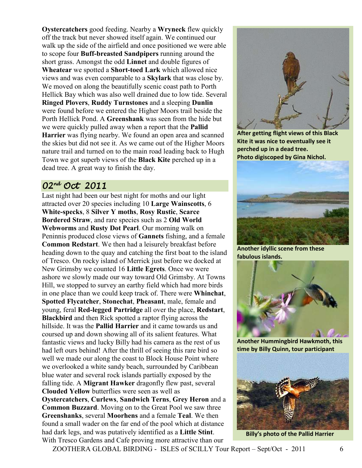**Oystercatchers** good feeding. Nearby a **Wryneck** flew quickly off the track but never showed itself again. We continued our walk up the side of the airfield and once positioned we were able to scope four **Buff-breasted Sandpipers** running around the short grass. Amongst the odd **Linnet** and double figures of **Wheatear** we spotted a **Short-toed Lark** which allowed nice views and was even comparable to a **Skylark** that was close by. We moved on along the beautifully scenic coast path to Porth Hellick Bay which was also well drained due to low tide. Several **Ringed Plovers**, **Ruddy Turnstones** and a sleeping **Dunlin** were found before we entered the Higher Moors trail beside the Porth Hellick Pond. A **Greenshank** was seen from the hide but we were quickly pulled away when a report that the **Pallid Harrier** was flying nearby. We found an open area and scanned the skies but did not see it. As we came out of the Higher Moors nature trail and turned on to the main road leading back to Hugh Town we got superb views of the **Black Kite** perched up in a dead tree. A great way to finish the day.

## 02nd Oct 2011

Last night had been our best night for moths and our light attracted over 20 species including 10 **Large Wainscotts**, 6 **White-specks**, 8 **Silver Y moths**, **Rosy Rustic**, **Scarce Bordered Straw**, and rare species such as 2 **Old World Webworms** and **Rusty Dot Pearl**. Our morning walk on Peninnis produced close views of **Gannets** fishing, and a female **Common Redstart**. We then had a leisurely breakfast before heading down to the quay and catching the first boat to the island of Tresco. On rocky island of Merrick just before we docked at New Grimsby we counted 16 **Little Egrets**. Once we were ashore we slowly made our way toward Old Grimsby. At Towns Hill, we stopped to survey an earthy field which had more birds in one place than we could keep track of. There were **Whinchat**, **Spotted Flycatcher**, **Stonechat**, **Pheasant**, male, female and young, feral **Red-legged Partridge** all over the place, **Redstart**, **Blackbird** and then Rick spotted a raptor flying across the hillside. It was the **Pallid Harrier** and it came towards us and coursed up and down showing all of its salient features. What fantastic views and lucky Billy had his camera as the rest of us had left ours behind! After the thrill of seeing this rare bird so well we made our along the coast to Block House Point where we overlooked a white sandy beach, surrounded by Caribbean blue water and several rock islands partially exposed by the falling tide. A **Migrant Hawker** dragonfly flew past, several **Clouded Yellow** butterflies were seen as well as **Oystercatchers**, **Curlews**, **Sandwich Terns**, **Grey Heron** and a **Common Buzzard**. Moving on to the Great Pool we saw three **Greenshanks**, several **Moorhens** and a female **Teal**. We then found a small wader on the far end of the pool which at distance had dark legs, and was putatively identified as a **Little Stint**. With Tresco Gardens and Cafe proving more attractive than our



**After getting flight views of this Black Kite it was nice to eventually see it perched up in a dead tree. Photo digiscoped by Gina Nichol.** 



**Another idyllic scene from these fabulous islands.**



**Another Hummingbird Hawkmoth, this time by Billy Quinn, tour participant**



 **Billy's photo of the Pallid Harrier** 

ZOOTHERA GLOBAL BIRDING - ISLES of SCILLY Tour Report – Sept/Oct - 2011 6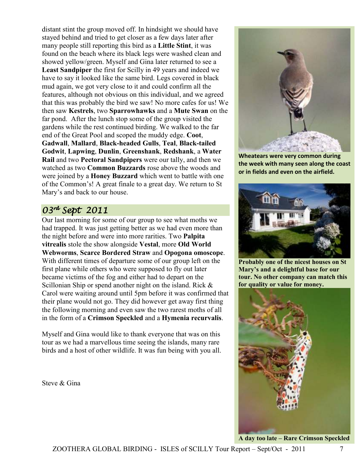distant stint the group moved off. In hindsight we should have stayed behind and tried to get closer as a few days later after many people still reporting this bird as a **Little Stint**, it was found on the beach where its black legs were washed clean and showed yellow/green. Myself and Gina later returned to see a **Least Sandpiper** the first for Scilly in 49 years and indeed we have to say it looked like the same bird. Legs covered in black mud again, we got very close to it and could confirm all the features, although not obvious on this individual, and we agreed that this was probably the bird we saw! No more cafes for us! We then saw **Kestrels**, two **Sparrowhawks** and a **Mute Swan** on the far pond. After the lunch stop some of the group visited the gardens while the rest continued birding. We walked to the far end of the Great Pool and scoped the muddy edge. **Coot**, **Gadwall**, **Mallard**, **Black-headed Gulls**, **Teal**, **Black-tailed Godwit**, **Lapwing**, **Dunlin**, **Greenshank**, **Redshank**, a **Water Rail** and two **Pectoral Sandpipers** were our tally, and then we watched as two **Common Buzzards** rose above the woods and were joined by a **Honey Buzzard** which went to battle with one of the Common's! A great finale to a great day. We return to St Mary's and back to our house.

### 03rd Sept 2011

Our last morning for some of our group to see what moths we had trapped. It was just getting better as we had even more than the night before and were into more rarities. Two **Palpita vitrealis** stole the show alongside **Vestal**, more **Old World Webworms**, **Scarce Bordered Straw** and **Opogona omoscope**. With different times of departure some of our group left on the first plane while others who were supposed to fly out later became victims of the fog and either had to depart on the Scillonian Ship or spend another night on the island. Rick & Carol were waiting around until 5pm before it was confirmed that their plane would not go. They did however get away first thing the following morning and even saw the two rarest moths of all in the form of a **Crimson Speckled** and a **Hymenia recurvalis**.

Myself and Gina would like to thank everyone that was on this tour as we had a marvellous time seeing the islands, many rare birds and a host of other wildlife. It was fun being with you all.

Steve & Gina



**Wheatears were very common during the week with many seen along the coast or in fields and even on the airfield.** 



**Probably one of the nicest houses on St Mary's and a delightful base for our tour. No other company can match this for quality or value for money.** 



**A day too late – Rare Crimson Speckled**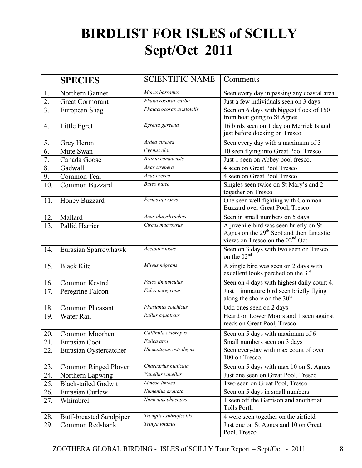# **BIRDLIST FOR ISLES of SCILLY Sept/Oct 2011**

|                  | <b>SPECIES</b>                 | <b>SCIENTIFIC NAME</b>    | Comments                                                                                                                                       |
|------------------|--------------------------------|---------------------------|------------------------------------------------------------------------------------------------------------------------------------------------|
| 1.               | Northern Gannet                | Morus bassanus            | Seen every day in passing any coastal area                                                                                                     |
| 2.               | <b>Great Cormorant</b>         | Phalacrocorax carbo       | Just a few individuals seen on 3 days                                                                                                          |
| $\overline{3}$ . | European Shag                  | Phalacrocorax aristotelis | Seen on 6 days with biggest flock of 150<br>from boat going to St Agnes.                                                                       |
| $\overline{4}$ . | Little Egret                   | Egretta garzetta          | 16 birds seen on 1 day on Merrick Island<br>just before docking on Tresco                                                                      |
| 5.               | Grey Heron                     | Ardea cinerea             | Seen every day with a maximum of 3                                                                                                             |
| 6.               | Mute Swan                      | Cygnus olor               | 10 seen flying into Great Pool Tresco                                                                                                          |
| 7.               | Canada Goose                   | Branta canadensis         | Just 1 seen on Abbey pool fresco.                                                                                                              |
| 8.               | Gadwall                        | Anas strepera             | 4 seen on Great Pool Tresco                                                                                                                    |
| 9.               | Common Teal                    | Anas crecca               | 4 seen on Great Pool Tresco                                                                                                                    |
| 10.              | Common Buzzard                 | <b>Buteo</b> buteo        | Singles seen twice on St Mary's and 2<br>together on Tresco                                                                                    |
| 11.              | Honey Buzzard                  | Pernis apivorus           | One seen well fighting with Common<br>Buzzard over Great Pool, Tresco                                                                          |
| 12.              | Mallard                        | Anas platyrhynchos        | Seen in small numbers on 5 days                                                                                                                |
| 13.              | Pallid Harrier                 | Circus macrourus          | A juvenile bird was seen briefly on St<br>Agnes on the 29 <sup>th</sup> Sept and then fantastic<br>views on Tresco on the 02 <sup>nd</sup> Oct |
| 14.              | Eurasian Sparrowhawk           | Accipiter nisus           | Seen on 3 days with two seen on Tresco<br>on the 02 <sup>nd</sup>                                                                              |
| 15.              | <b>Black Kite</b>              | Milvus migrans            | A single bird was seen on 2 days with<br>excellent looks perched on the 3rd                                                                    |
| 16.              | Common Kestrel                 | Falco tinnunculus         | Seen on 4 days with highest daily count 4.                                                                                                     |
| 17.              | Peregrine Falcon               | Falco peregrinus          | Just 1 immature bird seen briefly flying<br>along the shore on the 30 <sup>th</sup>                                                            |
| 18.              | Common Pheasant                | Phasianus colchicus       | Odd ones seen on 2 days                                                                                                                        |
| 19.              | Water Rail                     | Rallus aquaticus          | Heard on Lower Moors and 1 seen against<br>reeds on Great Pool, Tresco                                                                         |
| 20.              | Common Moorhen                 | Gallinula chloropus       | Seen on 5 days with maximum of 6                                                                                                               |
| 21.              | Eurasian Coot                  | Fulica atra               | Small numbers seen on 3 days                                                                                                                   |
| 22.              | Eurasian Oystercatcher         | Haematopus ostralegus     | Seen everyday with max count of over<br>100 on Tresco.                                                                                         |
| 23.              | Common Ringed Plover           | Charadrius hiaticula      | Seen on 5 days with max 10 on St Agnes                                                                                                         |
| 24.              | Northern Lapwing               | Vanellus vanellus         | Just one seen on Great Pool, Tresco                                                                                                            |
| 25.              | <b>Black-tailed Godwit</b>     | Limosa limosa             | Two seen on Great Pool, Tresco                                                                                                                 |
| 26.              | Eurasian Curlew                | Numenius arquata          | Seen on 5 days in small numbers                                                                                                                |
| 27.              | Whimbrel                       | Numenius phaeopus         | 1 seen off the Garrison and another at<br><b>Tolls Porth</b>                                                                                   |
| 28.              | <b>Buff-breasted Sandpiper</b> | Tryngites subruficollis   | 4 were seen together on the airfield                                                                                                           |
| 29.              | Common Redshank                | Tringa totanus            | Just one on St Agnes and 10 on Great<br>Pool, Tresco                                                                                           |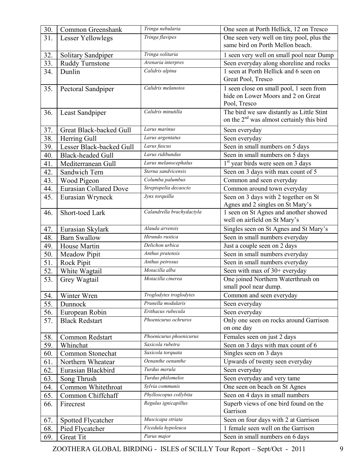| 30.               | Common Greenshank                     | Tringa nebularia                              | One seen at Porth Hellick, 12 on Tresco                      |
|-------------------|---------------------------------------|-----------------------------------------------|--------------------------------------------------------------|
| $\overline{31}$ . | <b>Lesser Yellowlegs</b>              | Tringa flavipes                               | One seen very well on tiny pool, plus the                    |
|                   |                                       |                                               | same bird on Porth Mellon beach.                             |
| 32.               | Solitary Sandpiper                    | Tringa solitaria                              | 1 seen very well on small pool near Dump                     |
| 33.               | <b>Ruddy Turnstone</b>                | Arenaria interpres                            | Seen everyday along shoreline and rocks                      |
| 34.               | Dunlin                                | Calidris alpina                               | 1 seen at Porth Hellick and 6 seen on                        |
|                   |                                       |                                               | Great Pool, Tresco                                           |
| 35.               | Pectoral Sandpiper                    | Calidris melanotos                            | 1 seen close on small pool, 1 seen from                      |
|                   |                                       |                                               | hide on Lower Moors and 2 on Great                           |
|                   |                                       |                                               | Pool, Tresco                                                 |
| 36.               | <b>Least Sandpiper</b>                | Calidris minutilla                            | The bird we saw distantly as Little Stint                    |
|                   |                                       |                                               | on the 2 <sup>nd</sup> was almost certainly this bird        |
| 37.               | Great Black-backed Gull               | Larus marinus                                 | Seen everyday                                                |
| 38.               | Herring Gull                          | Larus argentatus                              | Seen everyday                                                |
| 39.               | Lesser Black-backed Gull              | Larus fuscus                                  | Seen in small numbers on 5 days                              |
| 40.               | <b>Black-headed Gull</b>              | Larus ridibundus                              | Seen in small numbers on 5 days                              |
| 41.               | Mediterranean Gull                    | Larus melanocephalus                          | $1st$ year birds were seen on 3 days                         |
| 42.               | Sandwich Tern                         | Sterna sandvicensis                           | Seen on 3 days with max count of 5                           |
| 43.               | Wood Pigeon                           | Columba palumbus                              | Common and seen everyday                                     |
| 44.               | <b>Eurasian Collared Dove</b>         | Streptopelia decaocto                         | Common around town everyday                                  |
| 45.               | Eurasian Wryneck                      | Jynx torquilla                                | Seen on 3 days with 2 together on St                         |
|                   |                                       |                                               | Agnes and 2 singles on St Mary's                             |
| 46.               | Short-toed Lark                       | Calandrella brachydactyla                     | 1 seen on St Agnes and another showed                        |
|                   |                                       |                                               | well on airfield on St Mary's                                |
| 47.               | Eurasian Skylark                      | Alauda arvensis                               | Singles seen on St Agnes and St Mary's                       |
| 48.               | <b>Barn Swallow</b>                   | Hirundo rustica                               | Seen in small numbers everyday                               |
| 49.               | House Martin                          | Delichon urbica                               | Just a couple seen on 2 days                                 |
| 50.               | Meadow Pipit                          | Anthus pratensis                              | Seen in small numbers everyday                               |
| 51.               | Rock Pipit                            | Anthus petrosus                               | Seen in small numbers everyday                               |
| 52.               | White Wagtail                         | Motacilla alba                                | Seen with max of 30+ everyday                                |
| 53.               | Grey Wagtail                          | Motacilla cinerea                             | One joined Northern Waterthrush on                           |
|                   |                                       |                                               | small pool near dump.                                        |
| 54.               | Winter Wren                           | Troglodytes troglodytes<br>Prunella modularis | Common and seen everyday                                     |
| 55.               | Dunnock                               |                                               | Seen everyday                                                |
| 56.               | European Robin                        | Erithacus rubecula                            | Seen everyday                                                |
| 57.               | <b>Black Redstart</b>                 | Phoenicurus ochruros                          | Only one seen on rocks around Garrison                       |
|                   |                                       | Phoenicurus phoenicurus                       | on one day                                                   |
| 58.               | Common Redstart                       | Saxicola rubetra                              | Females seen on just 2 days                                  |
| 59.               | Whinchat<br>Common Stonechat          | Saxicola torquata                             | Seen on 3 days with max count of 6                           |
| 60.               |                                       | Oenanthe oenanthe                             | Singles seen on 3 days                                       |
| 61.               | Northern Wheatear                     | Turdus merula                                 | Upwards of twenty seen everyday<br>Seen everyday             |
| 62.               | Eurasian Blackbird                    | Turdus philomelos                             |                                                              |
| 63.<br>64.        | Song Thrush<br>Common Whitethroat     | Sylvia communis                               | Seen everyday and very tame<br>One seen on beach on St Agnes |
| 65.               | Common Chiffchaff                     | Phylloscopus collybita                        | Seen on 4 days in small numbers                              |
| 66.               |                                       | Regulus ignicapillus                          | Superb views of one bird found on the                        |
|                   | Firecrest                             |                                               | Garrison                                                     |
| 67.               |                                       | Muscicapa striata                             | Seen on four days with 2 at Garrison                         |
| 68.               | Spotted Flycatcher<br>Pied Flycatcher | Ficedula hypoleuca                            | 1 female seen well on the Garrison                           |
| 69.               | Great Tit                             | Parus major                                   | Seen in small numbers on 6 days                              |
|                   |                                       |                                               |                                                              |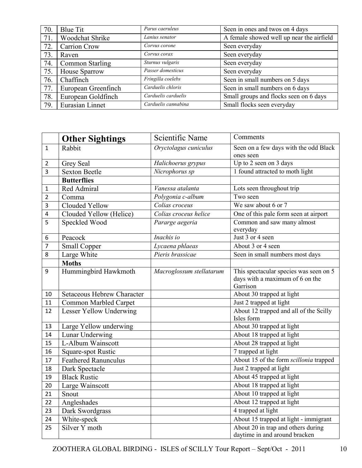| 70. | <b>Blue Tit</b>        | Parus caeruleus     | Seen in ones and twos on 4 days           |
|-----|------------------------|---------------------|-------------------------------------------|
| 71. | Woodchat Shrike        | Lanius senator      | A female showed well up near the airfield |
| 72. | <b>Carrion Crow</b>    | Corvus corone       | Seen everyday                             |
| 73. | Raven                  | Corvus corax        | Seen everyday                             |
| 74. | <b>Common Starling</b> | Sturnus vulgaris    | Seen everyday                             |
| 75. | House Sparrow          | Passer domesticus   | Seen everyday                             |
| 76. | Chaffinch              | Fringilla coelebs   | Seen in small numbers on 5 days           |
| 77. | European Greenfinch    | Carduelis chloris   | Seen in small numbers on 6 days           |
| 78. | European Goldfinch     | Carduelis carduelis | Small groups and flocks seen on 6 days    |
| 79. | Eurasian Linnet        | Carduelis cannabina | Small flocks seen everyday                |

|                         | <b>Other Sightings</b>      | Scientific Name          | Comments                                                                              |
|-------------------------|-----------------------------|--------------------------|---------------------------------------------------------------------------------------|
| $\mathbf{1}$            | Rabbit                      | Oryctolagus cuniculus    | Seen on a few days with the odd Black<br>ones seen                                    |
| 2                       | Grey Seal                   | Halichoerus grypus       | Up to 2 seen on 3 days                                                                |
| 3                       | <b>Sexton Beetle</b>        | Nicrophorus sp           | 1 found attracted to moth light                                                       |
|                         | <b>Butterflies</b>          |                          |                                                                                       |
| 1                       | Red Admiral                 | Vanessa atalanta         | Lots seen throughout trip                                                             |
| $\overline{2}$          | Comma                       | Polygonia c-album        | Two seen                                                                              |
| 3                       | Clouded Yellow              | Colias croceus           | We saw about 6 or 7                                                                   |
| $\overline{\mathbf{4}}$ | Clouded Yellow (Helice)     | Colias croceus helice    | One of this pale form seen at airport                                                 |
| 5                       | Speckled Wood               | Pararge aegeria          | Common and saw many almost<br>everyday                                                |
| 6                       | Peacock                     | Inachis io               | Just 3 or 4 seen                                                                      |
| $\overline{7}$          | <b>Small Copper</b>         | Lycaena phlaeas          | About 3 or 4 seen                                                                     |
| 8                       | Large White                 | Pieris brassicae         | Seen in small numbers most days                                                       |
|                         | <b>Moths</b>                |                          |                                                                                       |
| 9                       | Hummingbird Hawkmoth        | Macroglossum stellatarum | This spectacular species was seen on 5<br>days with a maximum of 6 on the<br>Garrison |
| 10                      | Setaceous Hebrew Character  |                          | About 30 trapped at light                                                             |
| 11                      | Common Marbled Carpet       |                          | Just 2 trapped at light                                                               |
| 12                      | Lesser Yellow Underwing     |                          | About 12 trapped and all of the Scilly<br>Isles form                                  |
| 13                      | Large Yellow underwing      |                          | About 30 trapped at light                                                             |
| 14                      | Lunar Underwing             |                          | About 18 trapped at light                                                             |
| 15                      | L-Album Wainscott           |                          | About 28 trapped at light                                                             |
| 16                      | Square-spot Rustic          |                          | 7 trapped at light                                                                    |
| 17                      | <b>Feathered Ranunculus</b> |                          | About 15 of the form scillonia trapped                                                |
| 18                      | Dark Spectacle              |                          | Just 2 trapped at light                                                               |
| 19                      | <b>Black Rustic</b>         |                          | About 45 trapped at light                                                             |
| 20                      | Large Wainscott             |                          | About 18 trapped at light                                                             |
| 21                      | Snout                       |                          | About 10 trapped at light                                                             |
| 22                      | Angleshades                 |                          | About 12 trapped at light                                                             |
| 23                      | Dark Swordgrass             |                          | 4 trapped at light                                                                    |
| 24                      | White-speck                 |                          | About 15 trapped at light - immigrant                                                 |
| 25                      | Silver Y moth               |                          | About 20 in trap and others during<br>daytime in and around bracken                   |